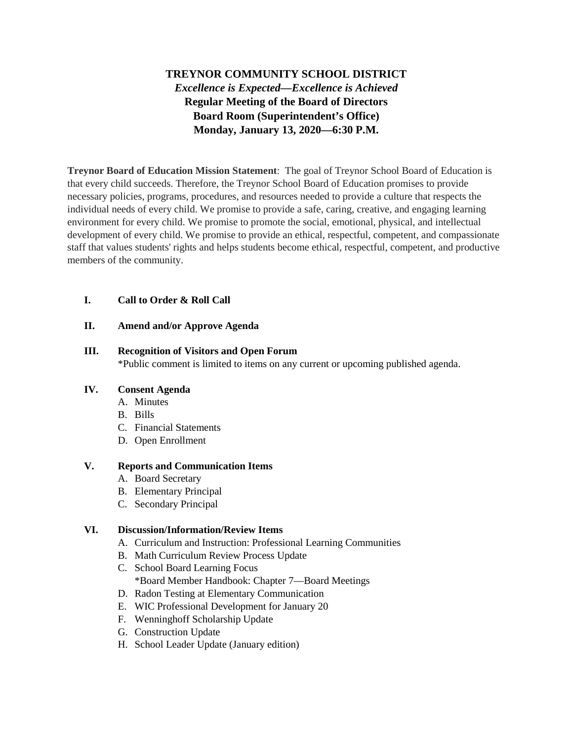# **TREYNOR COMMUNITY SCHOOL DISTRICT** *Excellence is Expected—Excellence is Achieved* **Regular Meeting of the Board of Directors Board Room (Superintendent's Office) Monday, January 13, 2020—6:30 P.M.**

**Treynor Board of Education Mission Statement**: The goal of Treynor School Board of Education is that every child succeeds. Therefore, the Treynor School Board of Education promises to provide necessary policies, programs, procedures, and resources needed to provide a culture that respects the individual needs of every child. We promise to provide a safe, caring, creative, and engaging learning environment for every child. We promise to promote the social, emotional, physical, and intellectual development of every child. We promise to provide an ethical, respectful, competent, and compassionate staff that values students' rights and helps students become ethical, respectful, competent, and productive members of the community.

## **I. Call to Order & Roll Call**

#### **II. Amend and/or Approve Agenda**

#### **III. Recognition of Visitors and Open Forum**

\*Public comment is limited to items on any current or upcoming published agenda.

#### **IV. Consent Agenda**

- A. Minutes
- B. Bills
- C. Financial Statements
- D. Open Enrollment

#### **V. Reports and Communication Items**

- A. Board Secretary
- B. Elementary Principal
- C. Secondary Principal

#### **VI. Discussion/Information/Review Items**

- A. Curriculum and Instruction: Professional Learning Communities
- B. Math Curriculum Review Process Update
- C. School Board Learning Focus \*Board Member Handbook: Chapter 7—Board Meetings
- D. Radon Testing at Elementary Communication
- E. WIC Professional Development for January 20
- F. Wenninghoff Scholarship Update
- G. Construction Update
- H. School Leader Update (January edition)